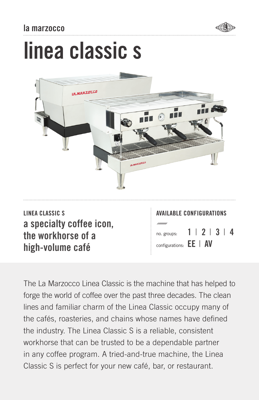## la marzocco



# linea classic s



LINEA CLASSIC S AVAILABLE CONFIGURATIONS a specialty coffee icon, the workhorse of a high-volume café

no. groups: configurations: **EE** | AV 1 | 2 | 3 | 4

The La Marzocco Linea Classic is the machine that has helped to forge the world of coffee over the past three decades. The clean lines and familiar charm of the Linea Classic occupy many of the cafés, roasteries, and chains whose names have defined the industry. The Linea Classic S is a reliable, consistent workhorse that can be trusted to be a dependable partner in any coffee program. A tried-and-true machine, the Linea Classic S is perfect for your new café, bar, or restaurant.